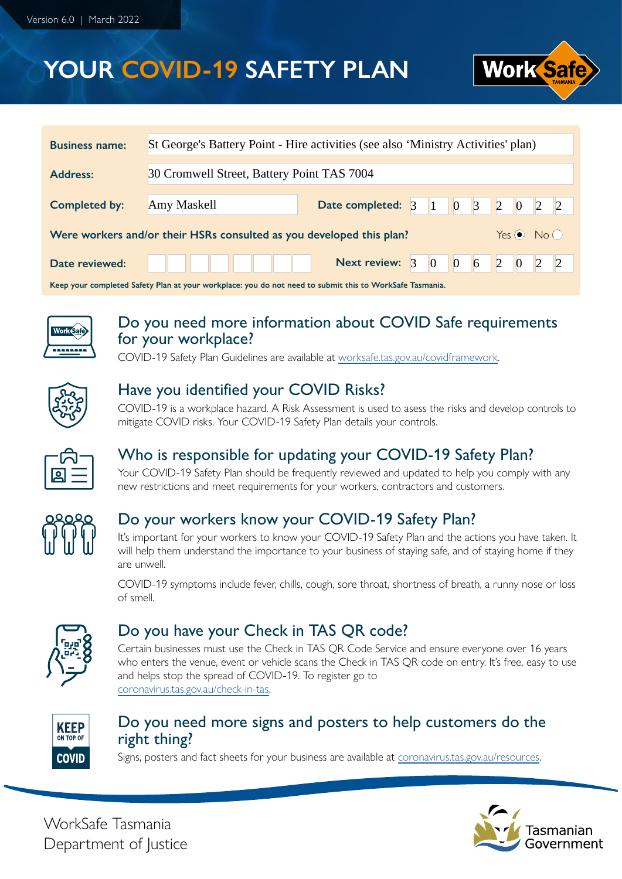# **YOUR COVID-19 SAFETY PLAN**



| <b>Business name:</b>                                                                                   | St George's Battery Point - Hire activities (see also 'Ministry Activities' plan) |                                        |  |                 |  |             |  |  |
|---------------------------------------------------------------------------------------------------------|-----------------------------------------------------------------------------------|----------------------------------------|--|-----------------|--|-------------|--|--|
| 30 Cromwell Street, Battery Point TAS 7004<br><b>Address:</b>                                           |                                                                                   |                                        |  |                 |  |             |  |  |
| <b>Completed by:</b>                                                                                    | Amy Maskell                                                                       | <b>Date completed:</b> 3 1 0 3 2 0 2 2 |  |                 |  |             |  |  |
| Yes $\odot$ No $\odot$<br>Were workers and/or their HSRs consulted as you developed this plan?          |                                                                                   |                                        |  |                 |  |             |  |  |
| Date reviewed:                                                                                          |                                                                                   | Next review: 3                         |  | $\vert 0 \vert$ |  | 0 6 2 0 2 2 |  |  |
| Keep your completed Safety Plan at your workplace: you do not need to submit this to WorkSafe Tasmania. |                                                                                   |                                        |  |                 |  |             |  |  |



#### Do you need more information about COVID Safe requirements for your workplace?

COVID-19 Safety Plan Guidelines are available at [worksafe.tas.gov.au/covidframework.](http://worksafe.tas.gov.au/covidframework)



### Have you identified your COVID Risks?

COVID-19 is a workplace hazard. A Risk Assessment is used to asess the risks and develop controls to mitigate COVID risks. Your COVID-19 Safety Plan details your controls.



### Who is responsible for updating your COVID-19 Safety Plan?

Your COVID-19 Safety Plan should be frequently reviewed and updated to help you comply with any new restrictions and meet requirements for your workers, contractors and customers.

| عر  | <u>92</u>              |                                |
|-----|------------------------|--------------------------------|
| I D | $\widehat{\mathbb{P}}$ | ြ<br>$\mathbb{I}^{\mathsf{P}}$ |
| Ш   | (日                     |                                |

### Do your workers know your COVID-19 Safety Plan?

It's important for your workers to know your COVID-19 Safety Plan and the actions you have taken. It will help them understand the importance to your business of staying safe, and of staying home if they are unwell.

COVID-19 symptoms include fever, chills, cough, sore throat, shortness of breath, a runny nose or loss of smell.

| P  |
|----|
| 67 |
|    |
|    |

#### Do you have your Check in TAS QR code?

Certain businesses must use the Check in TAS QR Code Service and ensure everyone over 16 years who enters the venue, event or vehicle scans the Check in TAS QR code on entry. It's free, easy to use and helps stop the spread of COVID-19. To register go to [coronavirus.tas.gov.au/check-in-tas.](http://coronavirus.tas.gov.au/check-in-tas)



### Do you need more signs and posters to help customers do the right thing?

Signs, posters and fact sheets for your business are available at [coronavirus.tas.gov.au/resources.](http://coronavirus.tas.gov.au/resources)



WorkSafe Tasmania Department of Justice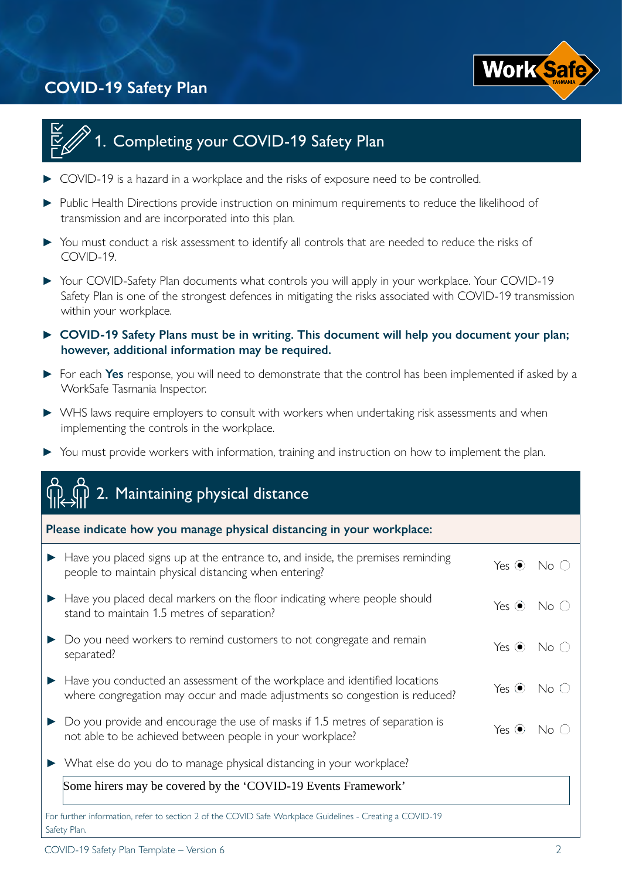



## Completing your COVID-19 Safety Plan

- COVID-19 is a hazard in a workplace and the risks of exposure need to be controlled.
- **►** Public Health Directions provide instruction on minimum requirements to reduce the likelihood of transmission and are incorporated into this plan.
- **►** You must conduct a risk assessment to identify all controls that are needed to reduce the risks of COVID-19.
- **►** Your COVID-Safety Plan documents what controls you will apply in your workplace. Your COVID-19 Safety Plan is one of the strongest defences in mitigating the risks associated with COVID-19 transmission within your workplace.
- **► COVID-19 Safety Plans must be in writing. This document will help you document your plan; however, additional information may be required.**
- **►** For each **Yes** response, you will need to demonstrate that the control has been implemented if asked by a WorkSafe Tasmania Inspector.
- **►** WHS laws require employers to consult with workers when undertaking risk assessments and when implementing the controls in the workplace.
- **►** You must provide workers with information, training and instruction on how to implement the plan.

| 2. Maintaining physical distance                                                                                                                          |             |                                             |
|-----------------------------------------------------------------------------------------------------------------------------------------------------------|-------------|---------------------------------------------|
| Please indicate how you manage physical distancing in your workplace:                                                                                     |             |                                             |
| Have you placed signs up at the entrance to, and inside, the premises reminding<br>people to maintain physical distancing when entering?                  | Yes $\odot$ | $No$ $\bigcirc$                             |
| Have you placed decal markers on the floor indicating where people should<br>stand to maintain 1.5 metres of separation?                                  | Yes $\odot$ | $\mathsf{No} \mathrel{\mathop{\mathbb{C}}}$ |
| Do you need workers to remind customers to not congregate and remain<br>separated?                                                                        | Yes $\odot$ | No C                                        |
| Have you conducted an assessment of the workplace and identified locations<br>where congregation may occur and made adjustments so congestion is reduced? | Yes $\odot$ | No<                                         |
| Do you provide and encourage the use of masks if 1.5 metres of separation is<br>not able to be achieved between people in your workplace?                 | Yes $\odot$ | No C                                        |
| What else do you do to manage physical distancing in your workplace?                                                                                      |             |                                             |
| Some hirers may be covered by the 'COVID-19 Events Framework'                                                                                             |             |                                             |
| For further information, refer to section 2 of the COVID Safe Workplace Guidelines - Creating a COVID-19<br>Safety Plan.                                  |             |                                             |

COVID-19 Safety Plan Template – Version 6 2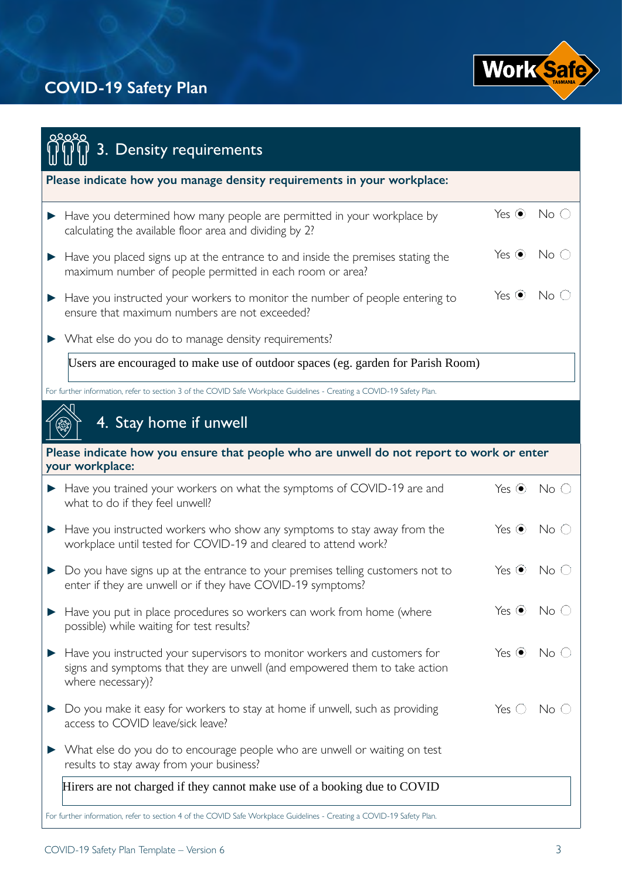

| ೦೩೦೩೦<br>3. Density requirements                                                                                                                                             |                  |                 |
|------------------------------------------------------------------------------------------------------------------------------------------------------------------------------|------------------|-----------------|
|                                                                                                                                                                              |                  |                 |
| Please indicate how you manage density requirements in your workplace:                                                                                                       |                  |                 |
| Have you determined how many people are permitted in your workplace by<br>calculating the available floor area and dividing by 2?                                            | Yes $\odot$      | No <sub>o</sub> |
| Have you placed signs up at the entrance to and inside the premises stating the<br>maximum number of people permitted in each room or area?                                  | Yes $\odot$      | No <sub>o</sub> |
| Have you instructed your workers to monitor the number of people entering to<br>ensure that maximum numbers are not exceeded?                                                | Yes $\odot$      | No<             |
| > What else do you do to manage density requirements?                                                                                                                        |                  |                 |
| Users are encouraged to make use of outdoor spaces (eg. garden for Parish Room)                                                                                              |                  |                 |
| For further information, refer to section 3 of the COVID Safe Workplace Guidelines - Creating a COVID-19 Safety Plan.                                                        |                  |                 |
| 4. Stay home if unwell                                                                                                                                                       |                  |                 |
|                                                                                                                                                                              |                  |                 |
| Please indicate how you ensure that people who are unwell do not report to work or enter<br>your workplace:                                                                  |                  |                 |
| Have you trained your workers on what the symptoms of COVID-19 are and<br>▶<br>what to do if they feel unwell?                                                               | Yes $\odot$      | $No$ $\bigcirc$ |
| Have you instructed workers who show any symptoms to stay away from the<br>workplace until tested for COVID-19 and cleared to attend work?                                   | Yes $\odot$      | No<             |
| Do you have signs up at the entrance to your premises telling customers not to<br>enter if they are unwell or if they have COVID-19 symptoms?                                | Yes $\odot$      | No i            |
| Have you put in place procedures so workers can work from home (where<br>possible) while waiting for test results?                                                           | Yes $\odot$      | No (            |
| Have you instructed your supervisors to monitor workers and customers for<br>signs and symptoms that they are unwell (and empowered them to take action<br>where necessary)? | Yes $\odot$      | No (            |
| Do you make it easy for workers to stay at home if unwell, such as providing<br>access to COVID leave/sick leave?                                                            | $Yes$ $\bigcirc$ | No (            |
| What else do you do to encourage people who are unwell or waiting on test<br>results to stay away from your business?                                                        |                  |                 |
| Hirers are not charged if they cannot make use of a booking due to COVID                                                                                                     |                  |                 |
| For further information, refer to section 4 of the COVID Safe Workplace Guidelines - Creating a COVID-19 Safety Plan.                                                        |                  |                 |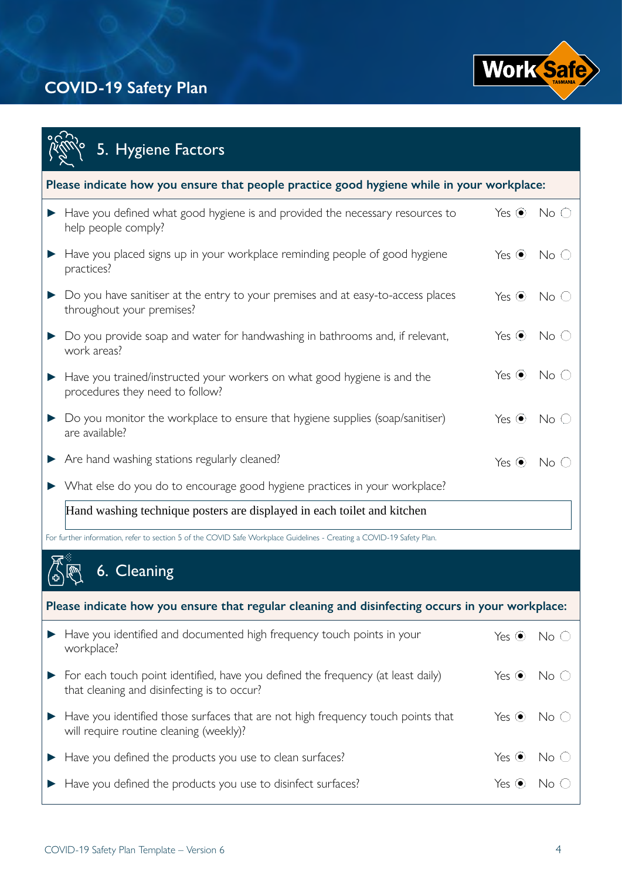

|   | 5. Hygiene Factors                                                                                                              |             |                 |  |  |  |  |
|---|---------------------------------------------------------------------------------------------------------------------------------|-------------|-----------------|--|--|--|--|
|   | Please indicate how you ensure that people practice good hygiene while in your workplace:                                       |             |                 |  |  |  |  |
| ▶ | Have you defined what good hygiene is and provided the necessary resources to<br>help people comply?                            | Yes $\odot$ | No <sub>o</sub> |  |  |  |  |
|   | Have you placed signs up in your workplace reminding people of good hygiene<br>practices?                                       | Yes $\odot$ | No (            |  |  |  |  |
|   | Do you have sanitiser at the entry to your premises and at easy-to-access places<br>throughout your premises?                   | Yes $\odot$ | No (            |  |  |  |  |
|   | Do you provide soap and water for handwashing in bathrooms and, if relevant,<br>work areas?                                     | Yes $\odot$ | No (            |  |  |  |  |
|   | Have you trained/instructed your workers on what good hygiene is and the<br>procedures they need to follow?                     | Yes $\odot$ | No (            |  |  |  |  |
|   | Do you monitor the workplace to ensure that hygiene supplies (soap/sanitiser)<br>are available?                                 | Yes $\odot$ | No (            |  |  |  |  |
|   | Are hand washing stations regularly cleaned?                                                                                    | Yes $\odot$ | No              |  |  |  |  |
|   | What else do you do to encourage good hygiene practices in your workplace?                                                      |             |                 |  |  |  |  |
|   | Hand washing technique posters are displayed in each toilet and kitchen                                                         |             |                 |  |  |  |  |
|   | For further information, refer to section 5 of the COVID Safe Workplace Guidelines - Creating a COVID-19 Safety Plan.           |             |                 |  |  |  |  |
|   | 6. Cleaning                                                                                                                     |             |                 |  |  |  |  |
|   | Please indicate how you ensure that regular cleaning and disinfecting occurs in your workplace:                                 |             |                 |  |  |  |  |
|   | Have you identified and documented high frequency touch points in your<br>workplace?                                            | Yes $\odot$ | $No$ $\bigcirc$ |  |  |  |  |
|   | For each touch point identified, have you defined the frequency (at least daily)<br>that cleaning and disinfecting is to occur? | Yes $\odot$ | No C            |  |  |  |  |
|   | Have you identified those surfaces that are not high frequency touch points that<br>will require routine cleaning (weekly)?     | Yes $\odot$ | No (            |  |  |  |  |
|   | Have you defined the products you use to clean surfaces?                                                                        | Yes $\odot$ | No              |  |  |  |  |
|   | Have you defined the products you use to disinfect surfaces?                                                                    | Yes $\odot$ | No l            |  |  |  |  |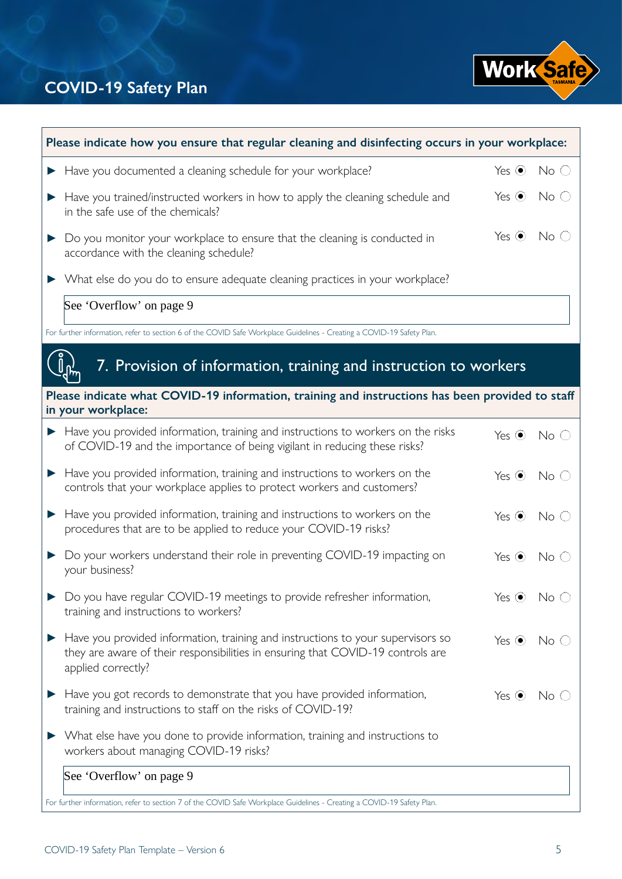

| Please indicate how you ensure that regular cleaning and disinfecting occurs in your workplace: |                                                                                                                                                                                          |                        |                 |  |  |
|-------------------------------------------------------------------------------------------------|------------------------------------------------------------------------------------------------------------------------------------------------------------------------------------------|------------------------|-----------------|--|--|
|                                                                                                 | Have you documented a cleaning schedule for your workplace?                                                                                                                              | Yes $\odot$            | $No$ $\bigcirc$ |  |  |
|                                                                                                 | Have you trained/instructed workers in how to apply the cleaning schedule and<br>in the safe use of the chemicals?                                                                       | Yes $\odot$            | $No$ $\bigcirc$ |  |  |
| $\blacktriangleright$                                                                           | Do you monitor your workplace to ensure that the cleaning is conducted in<br>accordance with the cleaning schedule?                                                                      | Yes $\odot$            | No C            |  |  |
|                                                                                                 | What else do you do to ensure adequate cleaning practices in your workplace?                                                                                                             |                        |                 |  |  |
|                                                                                                 | See 'Overflow' on page 9                                                                                                                                                                 |                        |                 |  |  |
|                                                                                                 | For further information, refer to section 6 of the COVID Safe Workplace Guidelines - Creating a COVID-19 Safety Plan.                                                                    |                        |                 |  |  |
|                                                                                                 | 7. Provision of information, training and instruction to workers                                                                                                                         |                        |                 |  |  |
|                                                                                                 | Please indicate what COVID-19 information, training and instructions has been provided to staff<br>in your workplace:                                                                    |                        |                 |  |  |
|                                                                                                 | Have you provided information, training and instructions to workers on the risks<br>of COVID-19 and the importance of being vigilant in reducing these risks?                            | Yes $\odot$            | $No$ $\bigcirc$ |  |  |
|                                                                                                 | Have you provided information, training and instructions to workers on the<br>controls that your workplace applies to protect workers and customers?                                     | Yes $\odot$            | No <sub>o</sub> |  |  |
| $\blacktriangleright$                                                                           | Have you provided information, training and instructions to workers on the<br>procedures that are to be applied to reduce your COVID-19 risks?                                           | Yes $\odot$            | No <sub>o</sub> |  |  |
|                                                                                                 | Do your workers understand their role in preventing COVID-19 impacting on<br>your business?                                                                                              | Yes $\odot$            | No <sub>o</sub> |  |  |
|                                                                                                 | ▶ Do you have regular COVID-19 meetings to provide refresher information,<br>training and instructions to workers?                                                                       | Yes $\odot$ No $\odot$ |                 |  |  |
|                                                                                                 | Have you provided information, training and instructions to your supervisors so<br>they are aware of their responsibilities in ensuring that COVID-19 controls are<br>applied correctly? | Yes $\odot$            | No<             |  |  |
|                                                                                                 | Have you got records to demonstrate that you have provided information,<br>training and instructions to staff on the risks of COVID-19?                                                  | Yes $\odot$            | No (            |  |  |
|                                                                                                 | What else have you done to provide information, training and instructions to<br>workers about managing COVID-19 risks?                                                                   |                        |                 |  |  |
|                                                                                                 | See 'Overflow' on page 9                                                                                                                                                                 |                        |                 |  |  |
|                                                                                                 | For further information, refer to section 7 of the COVID Safe Workplace Guidelines - Creating a COVID-19 Safety Plan.                                                                    |                        |                 |  |  |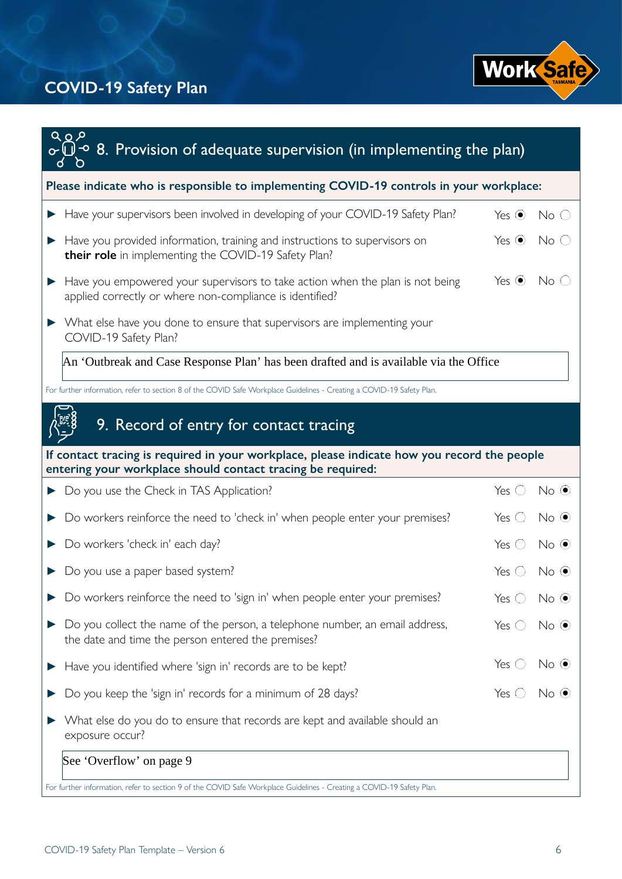

| <u> २०१</u><br>$\overline{\mathbb{Q}}$ $\overline{\cdot}$ 8. Provision of adequate supervision (in implementing the plan)                                  |                           |                 |
|------------------------------------------------------------------------------------------------------------------------------------------------------------|---------------------------|-----------------|
| Please indicate who is responsible to implementing COVID-19 controls in your workplace:                                                                    |                           |                 |
| Have your supervisors been involved in developing of your COVID-19 Safety Plan?                                                                            | Yes $\odot$               | $No$ $\bigcirc$ |
| Have you provided information, training and instructions to supervisors on<br>their role in implementing the COVID-19 Safety Plan?                         | Yes $\odot$               | $No$ $\bigcirc$ |
| Have you empowered your supervisors to take action when the plan is not being<br>applied correctly or where non-compliance is identified?                  | Yes $\odot$               | No <sub>o</sub> |
| > What else have you done to ensure that supervisors are implementing your<br>COVID-19 Safety Plan?                                                        |                           |                 |
| An 'Outbreak and Case Response Plan' has been drafted and is available via the Office                                                                      |                           |                 |
| For further information, refer to section 8 of the COVID Safe Workplace Guidelines - Creating a COVID-19 Safety Plan.                                      |                           |                 |
| 9. Record of entry for contact tracing                                                                                                                     |                           |                 |
| If contact tracing is required in your workplace, please indicate how you record the people<br>entering your workplace should contact tracing be required: |                           |                 |
| Do you use the Check in TAS Application?<br>▶                                                                                                              | Yes $\bigcirc$            | $No$ $\odot$    |
| Do workers reinforce the need to 'check in' when people enter your premises?                                                                               | Yes $\bigcirc$            | $No$ $\odot$    |
| Do workers 'check in' each day?                                                                                                                            | Yes $\bigcirc$            | $No$ $\odot$    |
| Do you use a paper based system?                                                                                                                           | Yes $\bigcirc$            | $No$ $\odot$    |
| Do workers reinforce the need to 'sign in' when people enter your premises?                                                                                | Yes $\bigcirc$ No $\odot$ |                 |
| Do you collect the name of the person, a telephone number, an email address,<br>the date and time the person entered the premises?                         | Yes $\bigcirc$            | $No$ $\odot$    |
| Have you identified where 'sign in' records are to be kept?                                                                                                | Yes $\bigcirc$            | $No$ $\odot$    |
| Do you keep the 'sign in' records for a minimum of 28 days?                                                                                                | $Yes$ $\bigcirc$          | $No$ $\odot$    |
| What else do you do to ensure that records are kept and available should an<br>exposure occur?                                                             |                           |                 |
| See 'Overflow' on page 9                                                                                                                                   |                           |                 |
| For further information, refer to section 9 of the COVID Safe Workplace Guidelines - Creating a COVID-19 Safety Plan.                                      |                           |                 |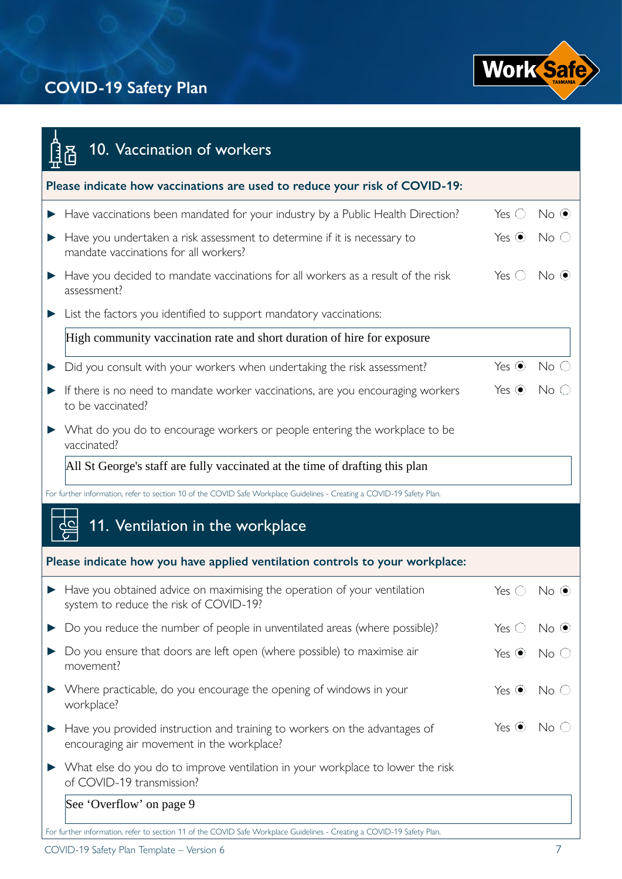

| 10. Vaccination of workers                                                                                               |                |                 |
|--------------------------------------------------------------------------------------------------------------------------|----------------|-----------------|
| Please indicate how vaccinations are used to reduce your risk of COVID-19:                                               |                |                 |
| Have vaccinations been mandated for your industry by a Public Health Direction?                                          | Yes $\bigcirc$ | $No$ $\odot$    |
| Have you undertaken a risk assessment to determine if it is necessary to<br>mandate vaccinations for all workers?        | Yes $\odot$    | No <sub>o</sub> |
| Have you decided to mandate vaccinations for all workers as a result of the risk<br>assessment?                          | Yes $\bigcirc$ | $No$ $\odot$    |
| List the factors you identified to support mandatory vaccinations:                                                       |                |                 |
| High community vaccination rate and short duration of hire for exposure                                                  |                |                 |
| Did you consult with your workers when undertaking the risk assessment?                                                  | Yes $\odot$    | No              |
| If there is no need to mandate worker vaccinations, are you encouraging workers<br>to be vaccinated?                     | Yes $\odot$    | No              |
| What do you do to encourage workers or people entering the workplace to be<br>vaccinated?                                |                |                 |
| All St George's staff are fully vaccinated at the time of drafting this plan                                             |                |                 |
| For further information, refer to section 10 of the COVID Safe Workplace Guidelines - Creating a COVID-19 Safety Plan.   |                |                 |
| 11. Ventilation in the workplace                                                                                         |                |                 |
| Please indicate how you have applied ventilation controls to your workplace:                                             |                |                 |
| • Have you obtained advice on maximising the operation of your ventilation<br>system to reduce the risk of COVID-19?     | Yes $\bigcirc$ | $No$ $\odot$    |
| Do you reduce the number of people in unventilated areas (where possible)?                                               | Yes $\bigcirc$ | $No$ $\odot$    |
| Do you ensure that doors are left open (where possible) to maximise air<br>movement?                                     | Yes $\odot$    | No <sub>C</sub> |
| Where practicable, do you encourage the opening of windows in your<br>workplace?                                         | Yes $\odot$    | No C            |
| Have you provided instruction and training to workers on the advantages of<br>encouraging air movement in the workplace? | Yes $\odot$    | No              |
| What else do you do to improve ventilation in your workplace to lower the risk<br>of COVID-19 transmission?              |                |                 |
| See 'Overflow' on page 9                                                                                                 |                |                 |
| For further information, refer to section 11 of the COVID Safe Workplace Guidelines - Creating a COVID-19 Safety Plan.   |                |                 |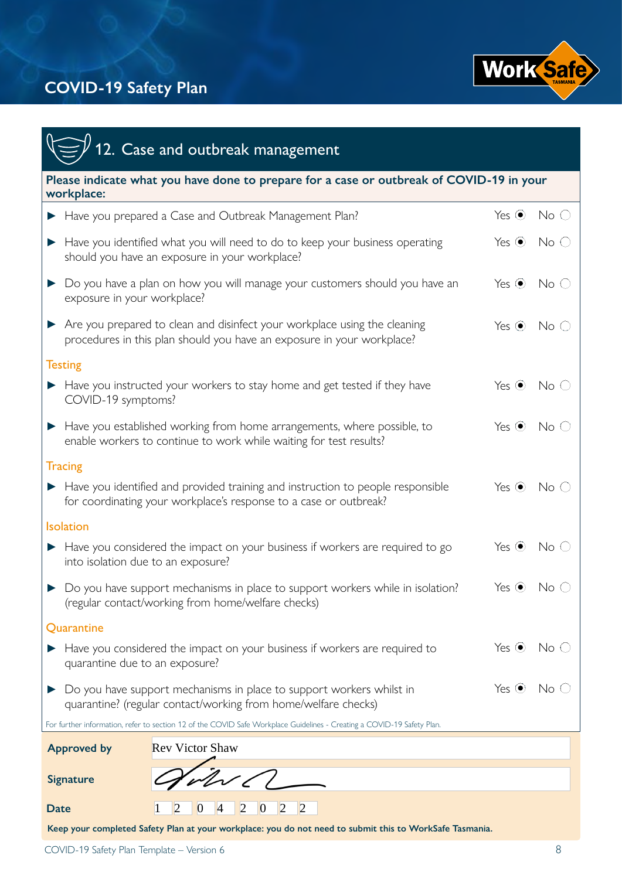

| 12. Case and outbreak management                                                                                                                     |             |                          |  |  |  |
|------------------------------------------------------------------------------------------------------------------------------------------------------|-------------|--------------------------|--|--|--|
| Please indicate what you have done to prepare for a case or outbreak of COVID-19 in your<br>workplace:                                               |             |                          |  |  |  |
| Have you prepared a Case and Outbreak Management Plan?                                                                                               | Yes $\odot$ | $No$ $\bigcirc$          |  |  |  |
| Have you identified what you will need to do to keep your business operating<br>should you have an exposure in your workplace?                       | Yes $\odot$ | $No$ $\circlearrowright$ |  |  |  |
| Do you have a plan on how you will manage your customers should you have an<br>exposure in your workplace?                                           | Yes $\odot$ | No <sub>o</sub>          |  |  |  |
| Are you prepared to clean and disinfect your workplace using the cleaning<br>procedures in this plan should you have an exposure in your workplace?  | Yes $\odot$ | No <sub>o</sub>          |  |  |  |
| <b>Testing</b>                                                                                                                                       |             |                          |  |  |  |
| Have you instructed your workers to stay home and get tested if they have<br>COVID-19 symptoms?                                                      | Yes $\odot$ | No <sub>o</sub>          |  |  |  |
| Have you established working from home arrangements, where possible, to<br>enable workers to continue to work while waiting for test results?        | Yes $\odot$ | No <sub>C</sub>          |  |  |  |
| <b>Tracing</b>                                                                                                                                       |             |                          |  |  |  |
| Have you identified and provided training and instruction to people responsible<br>for coordinating your workplace's response to a case or outbreak? | Yes $\odot$ | No C                     |  |  |  |
| <b>Isolation</b>                                                                                                                                     |             |                          |  |  |  |
| Have you considered the impact on your business if workers are required to go<br>into isolation due to an exposure?                                  | Yes $\odot$ | No <sub>o</sub>          |  |  |  |
| Do you have support mechanisms in place to support workers while in isolation?<br>(regular contact/working from home/welfare checks)                 | Yes $\odot$ | No (                     |  |  |  |
| Quarantine                                                                                                                                           |             |                          |  |  |  |
| Have you considered the impact on your business if workers are required to<br>quarantine due to an exposure?                                         | Yes $\odot$ | $\mathsf{No} \subset$    |  |  |  |
| Do you have support mechanisms in place to support workers whilst in<br>quarantine? (regular contact/working from home/welfare checks)               | Yes $\odot$ | No.                      |  |  |  |
| For further information, refer to section 12 of the COVID Safe Workplace Guidelines - Creating a COVID-19 Safety Plan.                               |             |                          |  |  |  |
| <b>Rev Victor Shaw</b><br><b>Approved by</b>                                                                                                         |             |                          |  |  |  |
| <b>Signature</b>                                                                                                                                     |             |                          |  |  |  |
|                                                                                                                                                      |             |                          |  |  |  |
| $\overline{2}$<br>$\boldsymbol{0}$<br>Date                                                                                                           |             |                          |  |  |  |

**Keep your completed Safety Plan at your workplace: you do not need to submit this to WorkSafe Tasmania.**